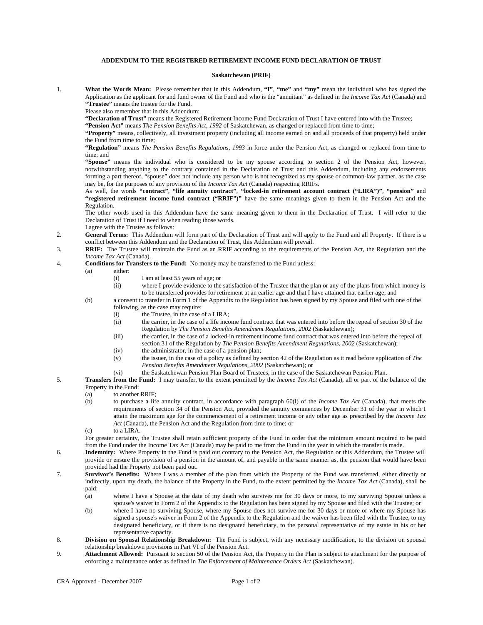## **ADDENDUM TO THE REGISTERED RETIREMENT INCOME FUND DECLARATION OF TRUST**

## **Saskatchewan (PRIF)**

1. **What the Words Mean:** Please remember that in this Addendum, **"I"**, **"me"** and **"my"** mean the individual who has signed the Application as the applicant for and fund owner of the Fund and who is the "annuitant" as defined in the *Income Tax Act* (Canada) and **"Trustee"** means the trustee for the Fund.

Please also remember that in this Addendum:

**"Declaration of Trust"** means the Registered Retirement Income Fund Declaration of Trust I have entered into with the Trustee;

**"Pension Act"** means *The Pension Benefits Act, 1992* of Saskatchewan, as changed or replaced from time to time;

**"Property"** means, collectively, all investment property (including all income earned on and all proceeds of that property) held under the Fund from time to time;

**"Regulation"** means *The Pension Benefits Regulations, 1993* in force under the Pension Act, as changed or replaced from time to time; and

**"Spouse"** means the individual who is considered to be my spouse according to section 2 of the Pension Act, however, notwithstanding anything to the contrary contained in the Declaration of Trust and this Addendum, including any endorsements forming a part thereof, "spouse" does not include any person who is not recognized as my spouse or common-law partner, as the case may be, for the purposes of any provision of the *Income Tax Act* (Canada) respecting RRIFs.

As well, the words **"contract"**, **"life annuity contract"**, **"locked-in retirement account contract ("LIRA")"**, **"pension"** and **"registered retirement income fund contract ("RRIF")"** have the same meanings given to them in the Pension Act and the Regulation.

The other words used in this Addendum have the same meaning given to them in the Declaration of Trust. I will refer to the Declaration of Trust if I need to when reading those words.

- I agree with the Trustee as follows:
- 2. **General Terms:** This Addendum will form part of the Declaration of Trust and will apply to the Fund and all Property. If there is a conflict between this Addendum and the Declaration of Trust, this Addendum will prevail.
- 3. **RRIF:** The Trustee will maintain the Fund as an RRIF according to the requirements of the Pension Act, the Regulation and the *Income Tax Act* (Canada).
- 4. **Conditions for Transfers to the Fund:** No money may be transferred to the Fund unless:
	- (a) either:
		- (i) I am at least 55 years of age; or
		- (ii) where I provide evidence to the satisfaction of the Trustee that the plan or any of the plans from which money is to be transferred provides for retirement at an earlier age and that I have attained that earlier age; and
	- (b) a consent to transfer in Form 1 of the Appendix to the Regulation has been signed by my Spouse and filed with one of the following, as the case may require:
		- (i) the Trustee, in the case of a LIRA;<br>(ii) the carrier, in the case of a life incom-
		- the carrier, in the case of a life income fund contract that was entered into before the repeal of section 30 of the Regulation by *The Pension Benefits Amendment Regulations, 2002* (Saskatchewan);
		- (iii) the carrier, in the case of a locked-in retirement income fund contract that was entered into before the repeal of section 31 of the Regulation by *The Pension Benefits Amendment Regulations, 2002* (Saskatchewan);
		- (iv) the administrator, in the case of a pension plan;
		- (v) the issuer, in the case of a policy as defined by section 42 of the Regulation as it read before application of *The Pension Benefits Amendment Regulations, 2002* (Saskatchewan); or
		- (vi) the Saskatchewan Pension Plan Board of Trustees, in the case of the Saskatchewan Pension Plan.

5. **Transfers from the Fund:** I may transfer, to the extent permitted by the *Income Tax Act* (Canada), all or part of the balance of the Property in the Fund:

- (a) to another RRIF;
- (b) to purchase a life annuity contract, in accordance with paragraph 60(l) of the *Income Tax Act* (Canada), that meets the requirements of section 34 of the Pension Act, provided the annuity commences by December 31 of the year in which I attain the maximum age for the commencement of a retirement income or any other age as prescribed by the *Income Tax Act* (Canada), the Pension Act and the Regulation from time to time; or
- (c) to a LIRA.

For greater certainty, the Trustee shall retain sufficient property of the Fund in order that the minimum amount required to be paid from the Fund under the Income Tax Act (Canada) may be paid to me from the Fund in the year in which the transfer is made.

- 6. **Indemnity:** Where Property in the Fund is paid out contrary to the Pension Act, the Regulation or this Addendum, the Trustee will provide or ensure the provision of a pension in the amount of, and payable in the same manner as, the pension that would have been provided had the Property not been paid out.
- 7. **Survivor's Benefits:** Where I was a member of the plan from which the Property of the Fund was transferred, either directly or indirectly, upon my death, the balance of the Property in the Fund, to the extent permitted by the *Income Tax Act* (Canada), shall be paid:
	- (a) where I have a Spouse at the date of my death who survives me for 30 days or more, to my surviving Spouse unless a spouse's waiver in Form 2 of the Appendix to the Regulation has been signed by my Spouse and filed with the Trustee; or
	- (b) where I have no surviving Spouse, where my Spouse does not survive me for 30 days or more or where my Spouse has signed a spouse's waiver in Form 2 of the Appendix to the Regulation and the waiver has been filed with the Trustee, to my designated beneficiary, or if there is no designated beneficiary, to the personal representative of my estate in his or her representative capacity.
- 8. **Division on Spousal Relationship Breakdown:** The Fund is subject, with any necessary modification, to the division on spousal relationship breakdown provisions in Part VI of the Pension Act.
- 9. **Attachment Allowed:** Pursuant to section 50 of the Pension Act, the Property in the Plan is subject to attachment for the purpose of enforcing a maintenance order as defined in *The Enforcement of Maintenance Orders Act* (Saskatchewan).